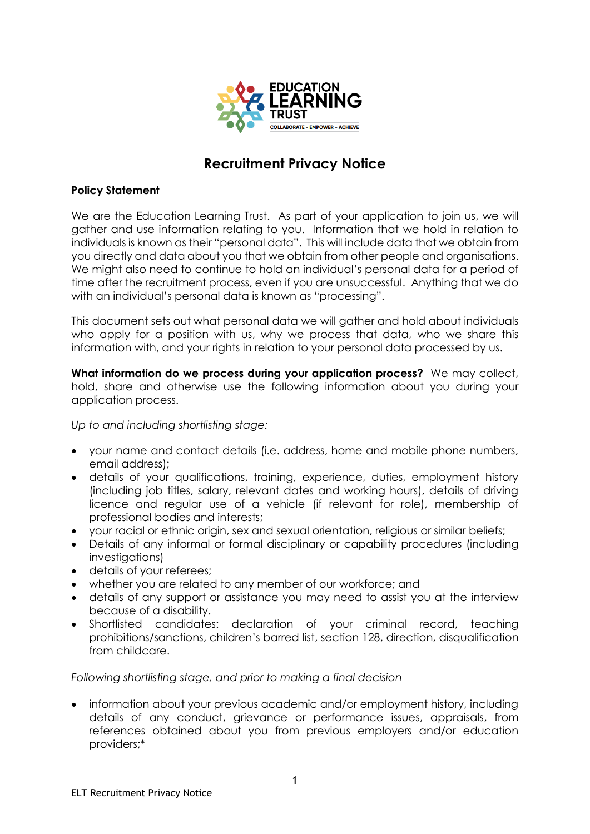

## **Recruitment Privacy Notice**

## **Policy Statement**

We are the Education Learning Trust. As part of your application to join us, we will gather and use information relating to you. Information that we hold in relation to individuals is known as their "personal data". This will include data that we obtain from you directly and data about you that we obtain from other people and organisations. We might also need to continue to hold an individual's personal data for a period of time after the recruitment process, even if you are unsuccessful. Anything that we do with an individual's personal data is known as "processing".

This document sets out what personal data we will gather and hold about individuals who apply for a position with us, why we process that data, who we share this information with, and your rights in relation to your personal data processed by us.

**What information do we process during your application process?** We may collect, hold, share and otherwise use the following information about you during your application process.

*Up to and including shortlisting stage:*

- your name and contact details (i.e. address, home and mobile phone numbers, email address);
- details of your qualifications, training, experience, duties, employment history (including job titles, salary, relevant dates and working hours), details of driving licence and regular use of a vehicle (if relevant for role), membership of professional bodies and interests;
- your racial or ethnic origin, sex and sexual orientation, religious or similar beliefs;
- Details of any informal or formal disciplinary or capability procedures (including investigations)
- details of your referees;
- whether you are related to any member of our workforce; and
- details of any support or assistance you may need to assist you at the interview because of a disability.
- Shortlisted candidates: declaration of your criminal record, teaching prohibitions/sanctions, children's barred list, section 128, direction, disqualification from childcare.

## *Following shortlisting stage, and prior to making a final decision*

 information about your previous academic and/or employment history, including details of any conduct, grievance or performance issues, appraisals, from references obtained about you from previous employers and/or education providers;\*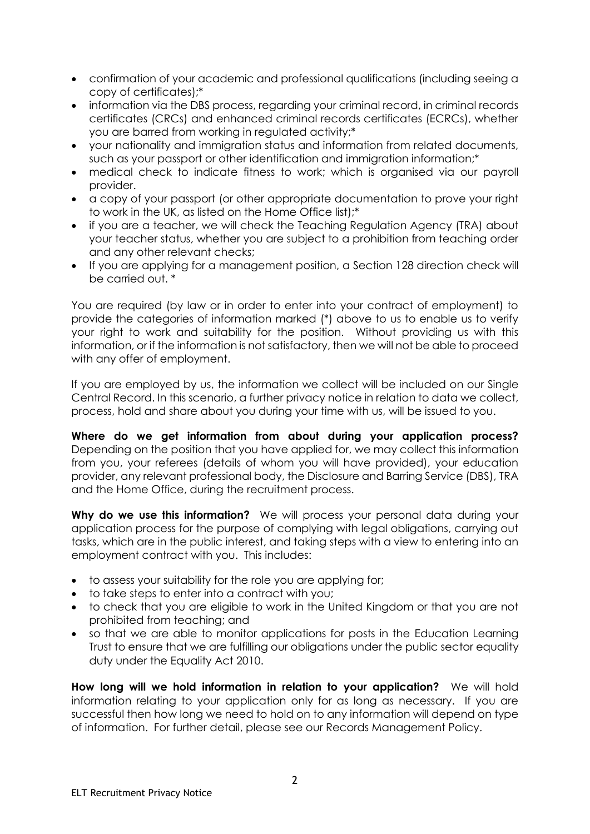- confirmation of your academic and professional qualifications (including seeing a copy of certificates);\*
- information via the DBS process, regarding your criminal record, in criminal records certificates (CRCs) and enhanced criminal records certificates (ECRCs), whether you are barred from working in regulated activity;\*
- your nationality and immigration status and information from related documents, such as your passport or other identification and immigration information;\*
- medical check to indicate fitness to work; which is organised via our payroll provider.
- a copy of your passport (or other appropriate documentation to prove your right to work in the UK, as listed on the Home Office list);\*
- if you are a teacher, we will check the Teaching Regulation Agency (TRA) about your teacher status, whether you are subject to a prohibition from teaching order and any other relevant checks;
- If you are applying for a management position, a Section 128 direction check will be carried out. \*

You are required (by law or in order to enter into your contract of employment) to provide the categories of information marked (\*) above to us to enable us to verify your right to work and suitability for the position. Without providing us with this information, or if the information is not satisfactory, then we will not be able to proceed with any offer of employment.

If you are employed by us, the information we collect will be included on our Single Central Record. In this scenario, a further privacy notice in relation to data we collect, process, hold and share about you during your time with us, will be issued to you.

**Where do we get information from about during your application process?**  Depending on the position that you have applied for, we may collect this information from you, your referees (details of whom you will have provided), your education provider, any relevant professional body, the Disclosure and Barring Service (DBS), TRA and the Home Office, during the recruitment process.

**Why do we use this information?** We will process your personal data during your application process for the purpose of complying with legal obligations, carrying out tasks, which are in the public interest, and taking steps with a view to entering into an employment contract with you. This includes:

- to assess your suitability for the role you are applying for;
- to take steps to enter into a contract with you;
- to check that you are eligible to work in the United Kingdom or that you are not prohibited from teaching; and
- so that we are able to monitor applications for posts in the Education Learning Trust to ensure that we are fulfilling our obligations under the public sector equality duty under the Equality Act 2010.

**How long will we hold information in relation to your application?** We will hold information relating to your application only for as long as necessary. If you are successful then how long we need to hold on to any information will depend on type of information. For further detail, please see our Records Management Policy.